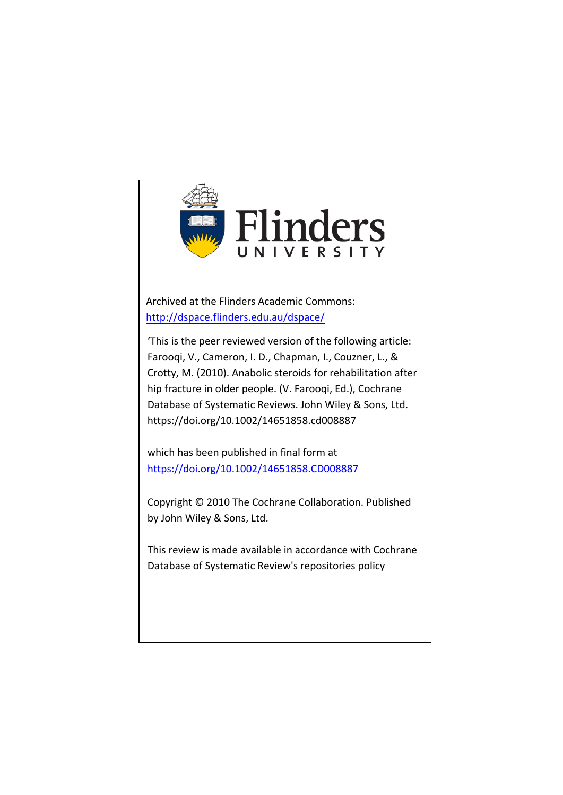

Archived at the Flinders Academic Commons: <http://dspace.flinders.edu.au/dspace/>

'This is the peer reviewed version of the following article: Farooqi, V., Cameron, I. D., Chapman, I., Couzner, L., & Crotty, M. (2010). Anabolic steroids for rehabilitation after hip fracture in older people. (V. Farooqi, Ed.), Cochrane Database of Systematic Reviews. John Wiley & Sons, Ltd. https://doi.org/10.1002/14651858.cd008887

which has been published in final form at https://doi.org/10.1002/14651858.CD008887

Copyright © 2010 The Cochrane Collaboration. Published by John Wiley & Sons, Ltd.

This review is made available in accordance with Cochrane Database of Systematic Review's repositories policy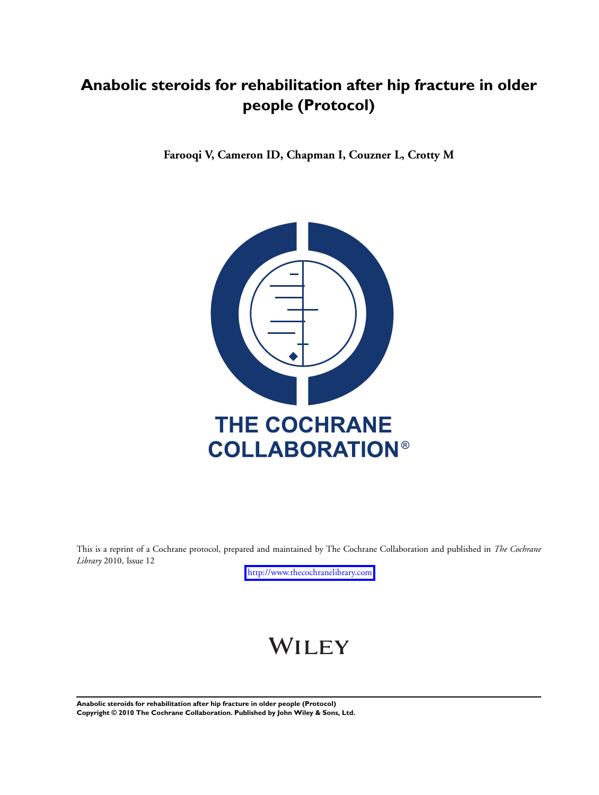## **Anabolic steroids for rehabilitation after hip fracture in older people (Protocol)**

**Farooqi V, Cameron ID, Chapman I, Couzner L, Crotty M**



This is a reprint of a Cochrane protocol, prepared and maintained by The Cochrane Collaboration and published in *The Cochrane Library* 2010, Issue 12

<http://www.thecochranelibrary.com>

# WILEY

**Anabolic steroids for rehabilitation after hip fracture in older people (Protocol) Copyright © 2010 The Cochrane Collaboration. Published by John Wiley & Sons, Ltd.**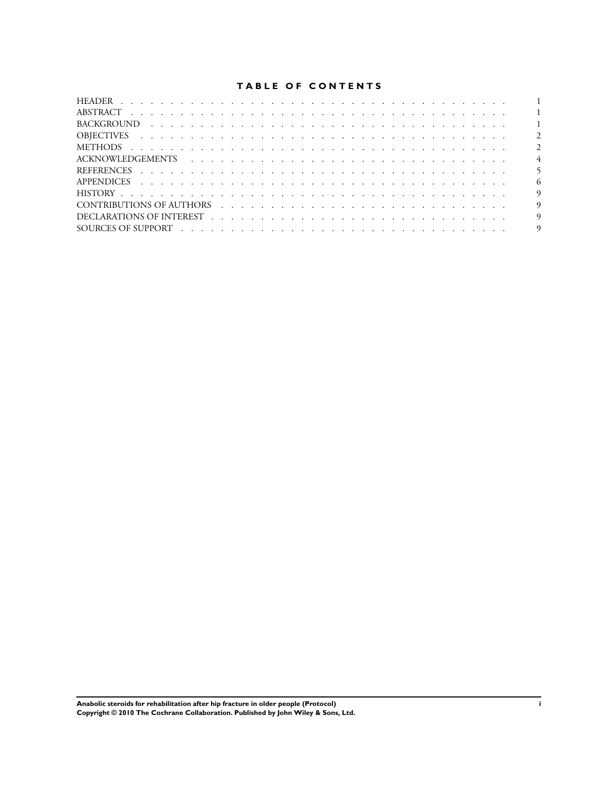## **TABLE OF CONTENTS**

|                                                     | $\overline{1}$ |
|-----------------------------------------------------|----------------|
|                                                     | $\overline{2}$ |
|                                                     | $\overline{2}$ |
|                                                     | $\overline{4}$ |
|                                                     |                |
|                                                     | - 6            |
|                                                     | - 9            |
| CONTRIBUTIONS OF AUTHORS (CONTRIBUTIONS OF AUTHORS) | $\overline{9}$ |
|                                                     | -9             |
|                                                     | $\overline{9}$ |

**Anabolic steroids for rehabilitation after hip fracture in older people (Protocol) i Copyright © 2010 The Cochrane Collaboration. Published by John Wiley & Sons, Ltd.**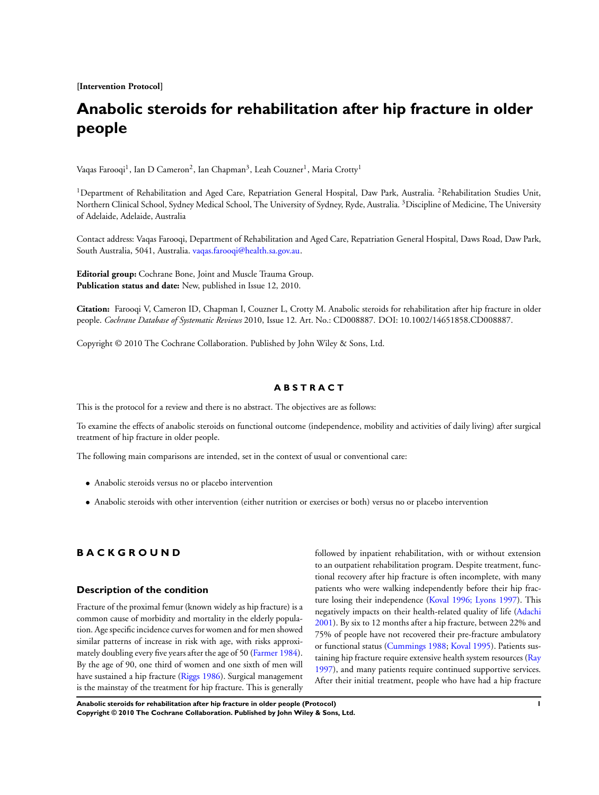**[Intervention Protocol]**

## **Anabolic steroids for rehabilitation after hip fracture in older people**

Vaqas Farooqi<sup>1</sup>, Ian D Cameron<sup>2</sup>, Ian Chapman<sup>3</sup>, Leah Couzner<sup>1</sup>, Maria Crotty<sup>1</sup>

<sup>1</sup>Department of Rehabilitation and Aged Care, Repatriation General Hospital, Daw Park, Australia. <sup>2</sup>Rehabilitation Studies Unit, Northern Clinical School, Sydney Medical School, The University of Sydney, Ryde, Australia. <sup>3</sup>Discipline of Medicine, The University of Adelaide, Adelaide, Australia

Contact address: Vaqas Farooqi, Department of Rehabilitation and Aged Care, Repatriation General Hospital, Daws Road, Daw Park, South Australia, 5041, Australia. [vaqas.farooqi@health.sa.gov.au](mailto:vaqas.farooqi@health.sa.gov.au).

**Editorial group:** Cochrane Bone, Joint and Muscle Trauma Group. **Publication status and date:** New, published in Issue 12, 2010.

**Citation:** Farooqi V, Cameron ID, Chapman I, Couzner L, Crotty M. Anabolic steroids for rehabilitation after hip fracture in older people. *Cochrane Database of Systematic Reviews* 2010, Issue 12. Art. No.: CD008887. DOI: 10.1002/14651858.CD008887.

Copyright © 2010 The Cochrane Collaboration. Published by John Wiley & Sons, Ltd.

#### **A B S T R A C T**

This is the protocol for a review and there is no abstract. The objectives are as follows:

To examine the effects of anabolic steroids on functional outcome (independence, mobility and activities of daily living) after surgical treatment of hip fracture in older people.

The following main comparisons are intended, set in the context of usual or conventional care:

- Anabolic steroids versus no or placebo intervention
- Anabolic steroids with other intervention (either nutrition or exercises or both) versus no or placebo intervention

## **B A C K G R O U N D**

## **Description of the condition**

Fracture of the proximal femur (known widely as hip fracture) is a common cause of morbidity and mortality in the elderly population. Age specific incidence curves for women and for men showed similar patterns of increase in risk with age, with risks approximately doubling every five years after the age of 50 ([Farmer 1984](#page-7-0)). By the age of 90, one third of women and one sixth of men will have sustained a hip fracture ([Riggs 1986](#page-7-0)). Surgical management is the mainstay of the treatment for hip fracture. This is generally

followed by inpatient rehabilitation, with or without extension to an outpatient rehabilitation program. Despite treatment, functional recovery after hip fracture is often incomplete, with many patients who were walking independently before their hip fracture losing their independence ([Koval 1996; Lyons 1997](#page-7-0)). This negatively impacts on their health-related quality of life ([Adachi](#page-7-0) [2001](#page-7-0)). By six to 12 months after a hip fracture, between 22% and 75% of people have not recovered their pre-fracture ambulatory or functional status ([Cummings 1988;](#page-7-0) [Koval 1995](#page-7-0)). Patients sustaining hip fracture require extensive health system resources ([Ray](#page-7-0) [1997](#page-7-0)), and many patients require continued supportive services. After their initial treatment, people who have had a hip fracture

**Anabolic steroids for rehabilitation after hip fracture in older people (Protocol) 1 Copyright © 2010 The Cochrane Collaboration. Published by John Wiley & Sons, Ltd.**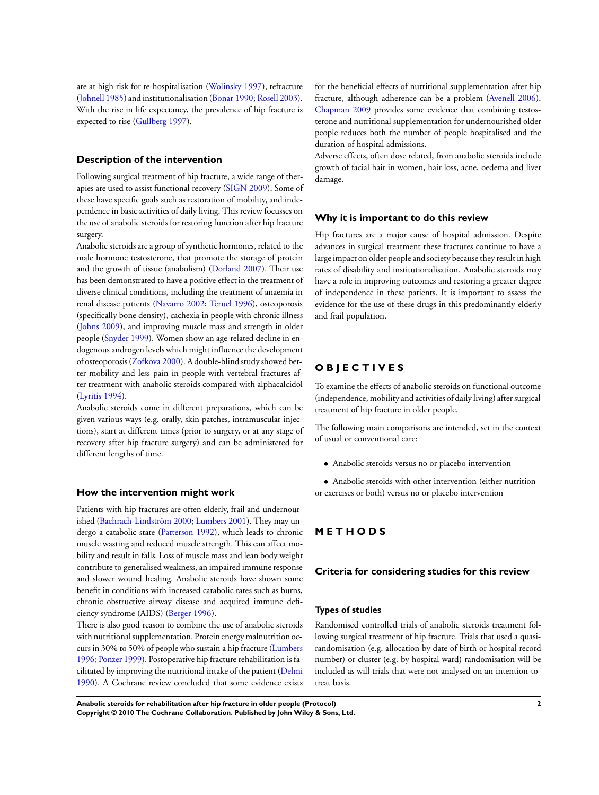are at high risk for re-hospitalisation [\(Wolinsky 1997\)](#page-7-0), refracture [\(Johnell 1985](#page-7-0)) and institutionalisation ([Bonar 1990](#page-7-0); [Rosell 2003](#page-7-0)). With the rise in life expectancy, the prevalence of hip fracture is expected to rise ([Gullberg 1997\)](#page-7-0).

#### **Description of the intervention**

Following surgical treatment of hip fracture, a wide range of therapies are used to assist functional recovery ([SIGN 2009\)](#page-7-0). Some of these have specific goals such as restoration of mobility, and independence in basic activities of daily living. This review focusses on the use of anabolic steroids for restoring function after hip fracture surgery.

Anabolic steroids are a group of synthetic hormones, related to the male hormone testosterone, that promote the storage of protein and the growth of tissue (anabolism) [\(Dorland 2007](#page-7-0)). Their use has been demonstrated to have a positive effect in the treatment of diverse clinical conditions, including the treatment of anaemia in renal disease patients ([Navarro 2002; Teruel 1996](#page-7-0)), osteoporosis (specifically bone density), cachexia in people with chronic illness [\(Johns 2009](#page-7-0)), and improving muscle mass and strength in older people ([Snyder 1999\)](#page-7-0). Women show an age-related decline in endogenous androgen levels which might influence the development of osteoporosis [\(Zofkova 2000\)](#page-7-0). A double-blind study showed better mobility and less pain in people with vertebral fractures after treatment with anabolic steroids compared with alphacalcidol [\(Lyritis 1994](#page-7-0)).

Anabolic steroids come in different preparations, which can be given various ways (e.g. orally, skin patches, intramuscular injections), start at different times (prior to surgery, or at any stage of recovery after hip fracture surgery) and can be administered for different lengths of time.

#### **How the intervention might work**

Patients with hip fractures are often elderly, frail and undernourished ([Bachrach-Lindström 2000;](#page-7-0) [Lumbers 2001](#page-7-0)). They may undergo a catabolic state [\(Patterson 1992](#page-7-0)), which leads to chronic muscle wasting and reduced muscle strength. This can affect mobility and result in falls. Loss of muscle mass and lean body weight contribute to generalised weakness, an impaired immune response and slower wound healing. Anabolic steroids have shown some benefit in conditions with increased catabolic rates such as burns, chronic obstructive airway disease and acquired immune deficiency syndrome (AIDS) ([Berger 1996](#page-7-0)).

There is also good reason to combine the use of anabolic steroids with nutritional supplementation. Protein energy malnutrition occurs in 30% to 50% of people who sustain a hip fracture ([Lumbers](#page-7-0) [1996](#page-7-0); [Ponzer 1999](#page-7-0)). Postoperative hip fracture rehabilitation is facilitated by improving the nutritional intake of the patient [\(Delmi](#page-7-0) [1990](#page-7-0)). A Cochrane review concluded that some evidence exists for the beneficial effects of nutritional supplementation after hip fracture, although adherence can be a problem [\(Avenell 2006](#page-7-0)). [Chapman 2009](#page-7-0) provides some evidence that combining testosterone and nutritional supplementation for undernourished older people reduces both the number of people hospitalised and the duration of hospital admissions.

Adverse effects, often dose related, from anabolic steroids include growth of facial hair in women, hair loss, acne, oedema and liver damage.

#### **Why it is important to do this review**

Hip fractures are a major cause of hospital admission. Despite advances in surgical treatment these fractures continue to have a large impact on older people and society because they result in high rates of disability and institutionalisation. Anabolic steroids may have a role in improving outcomes and restoring a greater degree of independence in these patients. It is important to assess the evidence for the use of these drugs in this predominantly elderly and frail population.

## **O B J E C T I V E S**

To examine the effects of anabolic steroids on functional outcome (independence, mobility and activities of daily living) after surgical treatment of hip fracture in older people.

The following main comparisons are intended, set in the context of usual or conventional care:

• Anabolic steroids versus no or placebo intervention

• Anabolic steroids with other intervention (either nutrition or exercises or both) versus no or placebo intervention

## **M E T H O D S**

#### **Criteria for considering studies for this review**

#### **Types of studies**

Randomised controlled trials of anabolic steroids treatment following surgical treatment of hip fracture. Trials that used a quasirandomisation (e.g. allocation by date of birth or hospital record number) or cluster (e.g. by hospital ward) randomisation will be included as will trials that were not analysed on an intention-totreat basis.

**Anabolic steroids for rehabilitation after hip fracture in older people (Protocol) 2 Copyright © 2010 The Cochrane Collaboration. Published by John Wiley & Sons, Ltd.**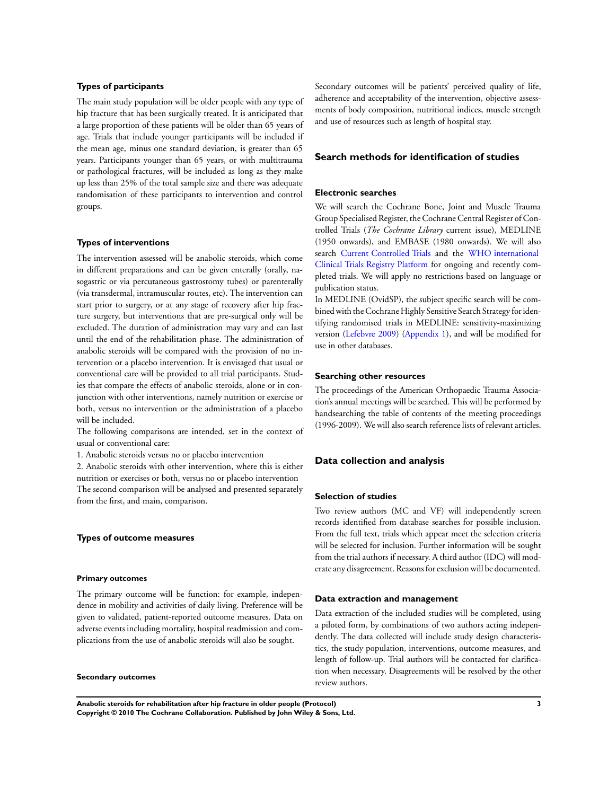#### **Types of participants**

The main study population will be older people with any type of hip fracture that has been surgically treated. It is anticipated that a large proportion of these patients will be older than 65 years of age. Trials that include younger participants will be included if the mean age, minus one standard deviation, is greater than 65 years. Participants younger than 65 years, or with multitrauma or pathological fractures, will be included as long as they make up less than 25% of the total sample size and there was adequate randomisation of these participants to intervention and control groups.

#### **Types of interventions**

The intervention assessed will be anabolic steroids, which come in different preparations and can be given enterally (orally, nasogastric or via percutaneous gastrostomy tubes) or parenterally (via transdermal, intramuscular routes, etc). The intervention can start prior to surgery, or at any stage of recovery after hip fracture surgery, but interventions that are pre-surgical only will be excluded. The duration of administration may vary and can last until the end of the rehabilitation phase. The administration of anabolic steroids will be compared with the provision of no intervention or a placebo intervention. It is envisaged that usual or conventional care will be provided to all trial participants. Studies that compare the effects of anabolic steroids, alone or in conjunction with other interventions, namely nutrition or exercise or both, versus no intervention or the administration of a placebo will be included.

The following comparisons are intended, set in the context of usual or conventional care:

1. Anabolic steroids versus no or placebo intervention

2. Anabolic steroids with other intervention, where this is either nutrition or exercises or both, versus no or placebo intervention The second comparison will be analysed and presented separately from the first, and main, comparison.

#### **Types of outcome measures**

#### **Primary outcomes**

The primary outcome will be function: for example, independence in mobility and activities of daily living. Preference will be given to validated, patient-reported outcome measures. Data on adverse events including mortality, hospital readmission and complications from the use of anabolic steroids will also be sought.

#### **Secondary outcomes**

Secondary outcomes will be patients' perceived quality of life, adherence and acceptability of the intervention, objective assessments of body composition, nutritional indices, muscle strength and use of resources such as length of hospital stay.

## **Search methods for identification of studies**

#### **Electronic searches**

We will search the Cochrane Bone, Joint and Muscle Trauma Group Specialised Register, the Cochrane Central Register of Controlled Trials (*The Cochrane Library* current issue), MEDLINE (1950 onwards), and EMBASE (1980 onwards). We will also search [Current Controlled Trials](http://www.controlled-trials.com) and the [WHO international](http://apps.who.int/trialsearch/) [Clinical Trials Registry Platform](http://apps.who.int/trialsearch/) for ongoing and recently completed trials. We will apply no restrictions based on language or publication status.

In MEDLINE (OvidSP), the subject specific search will be combined with the Cochrane Highly Sensitive Search Strategy for identifying randomised trials in MEDLINE: sensitivity-maximizing version ([Lefebvre 2009](#page-7-0)) ([Appendix 1\)](#page-9-0), and will be modified for use in other databases.

#### **Searching other resources**

The proceedings of the American Orthopaedic Trauma Association's annual meetings will be searched. This will be performed by handsearching the table of contents of the meeting proceedings (1996-2009). We will also search reference lists of relevant articles.

#### **Data collection and analysis**

#### **Selection of studies**

Two review authors (MC and VF) will independently screen records identified from database searches for possible inclusion. From the full text, trials which appear meet the selection criteria will be selected for inclusion. Further information will be sought from the trial authors if necessary. A third author (IDC) will moderate any disagreement. Reasons for exclusion will be documented.

#### **Data extraction and management**

Data extraction of the included studies will be completed, using a piloted form, by combinations of two authors acting independently. The data collected will include study design characteristics, the study population, interventions, outcome measures, and length of follow-up. Trial authors will be contacted for clarification when necessary. Disagreements will be resolved by the other review authors.

**Anabolic steroids for rehabilitation after hip fracture in older people (Protocol) 3 Copyright © 2010 The Cochrane Collaboration. Published by John Wiley & Sons, Ltd.**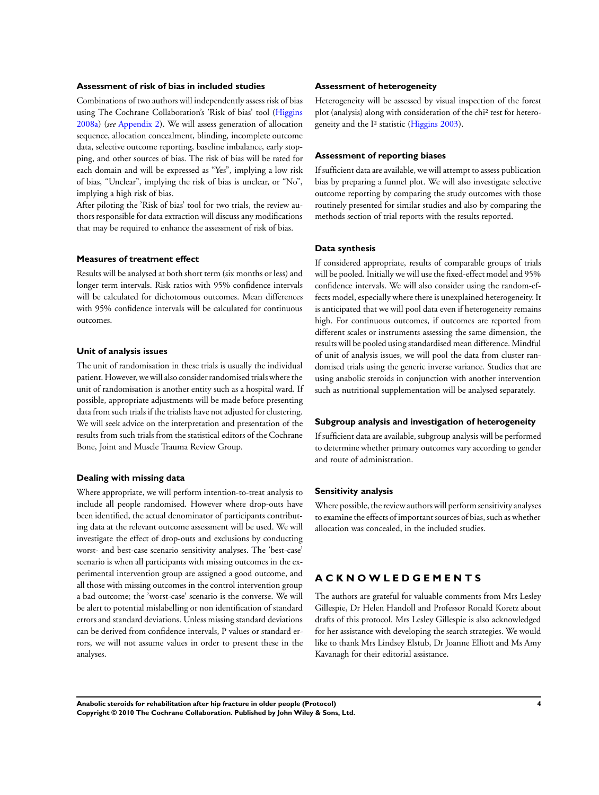#### **Assessment of risk of bias in included studies**

Combinations of two authors will independently assess risk of bias using The Cochrane Collaboration's 'Risk of bias' tool ([Higgins](#page-7-0) [2008a\)](#page-7-0) (*see* [Appendix 2\)](#page-9-0). We will assess generation of allocation sequence, allocation concealment, blinding, incomplete outcome data, selective outcome reporting, baseline imbalance, early stopping, and other sources of bias. The risk of bias will be rated for each domain and will be expressed as "Yes", implying a low risk of bias, "Unclear", implying the risk of bias is unclear, or "No", implying a high risk of bias.

After piloting the 'Risk of bias' tool for two trials, the review authors responsible for data extraction will discuss any modifications that may be required to enhance the assessment of risk of bias.

#### **Measures of treatment effect**

Results will be analysed at both short term (six months or less) and longer term intervals. Risk ratios with 95% confidence intervals will be calculated for dichotomous outcomes. Mean differences with 95% confidence intervals will be calculated for continuous outcomes.

#### **Unit of analysis issues**

The unit of randomisation in these trials is usually the individual patient. However, we will also consider randomised trials where the unit of randomisation is another entity such as a hospital ward. If possible, appropriate adjustments will be made before presenting data from such trials if the trialists have not adjusted for clustering. We will seek advice on the interpretation and presentation of the results from such trials from the statistical editors of the Cochrane Bone, Joint and Muscle Trauma Review Group.

#### **Dealing with missing data**

Where appropriate, we will perform intention-to-treat analysis to include all people randomised. However where drop-outs have been identified, the actual denominator of participants contributing data at the relevant outcome assessment will be used. We will investigate the effect of drop-outs and exclusions by conducting worst- and best-case scenario sensitivity analyses. The 'best-case' scenario is when all participants with missing outcomes in the experimental intervention group are assigned a good outcome, and all those with missing outcomes in the control intervention group a bad outcome; the 'worst-case' scenario is the converse. We will be alert to potential mislabelling or non identification of standard errors and standard deviations. Unless missing standard deviations can be derived from confidence intervals, P values or standard errors, we will not assume values in order to present these in the analyses.

#### **Assessment of heterogeneity**

Heterogeneity will be assessed by visual inspection of the forest plot (analysis) along with consideration of the chi² test for heterogeneity and the I² statistic [\(Higgins 2003](#page-7-0)).

#### **Assessment of reporting biases**

If sufficient data are available, we will attempt to assess publication bias by preparing a funnel plot. We will also investigate selective outcome reporting by comparing the study outcomes with those routinely presented for similar studies and also by comparing the methods section of trial reports with the results reported.

#### **Data synthesis**

If considered appropriate, results of comparable groups of trials will be pooled. Initially we will use the fixed-effect model and 95% confidence intervals. We will also consider using the random-effects model, especially where there is unexplained heterogeneity. It is anticipated that we will pool data even if heterogeneity remains high. For continuous outcomes, if outcomes are reported from different scales or instruments assessing the same dimension, the results will be pooled using standardised mean difference. Mindful of unit of analysis issues, we will pool the data from cluster randomised trials using the generic inverse variance. Studies that are using anabolic steroids in conjunction with another intervention such as nutritional supplementation will be analysed separately.

#### **Subgroup analysis and investigation of heterogeneity**

If sufficient data are available, subgroup analysis will be performed to determine whether primary outcomes vary according to gender and route of administration.

#### **Sensitivity analysis**

Where possible, the review authors will perform sensitivity analyses to examine the effects of important sources of bias, such as whether allocation was concealed, in the included studies.

## **A C K N O W L E D G E M E N T S**

The authors are grateful for valuable comments from Mrs Lesley Gillespie, Dr Helen Handoll and Professor Ronald Koretz about drafts of this protocol. Mrs Lesley Gillespie is also acknowledged for her assistance with developing the search strategies. We would like to thank Mrs Lindsey Elstub, Dr Joanne Elliott and Ms Amy Kavanagh for their editorial assistance.

**Anabolic steroids for rehabilitation after hip fracture in older people (Protocol) 4 Copyright © 2010 The Cochrane Collaboration. Published by John Wiley & Sons, Ltd.**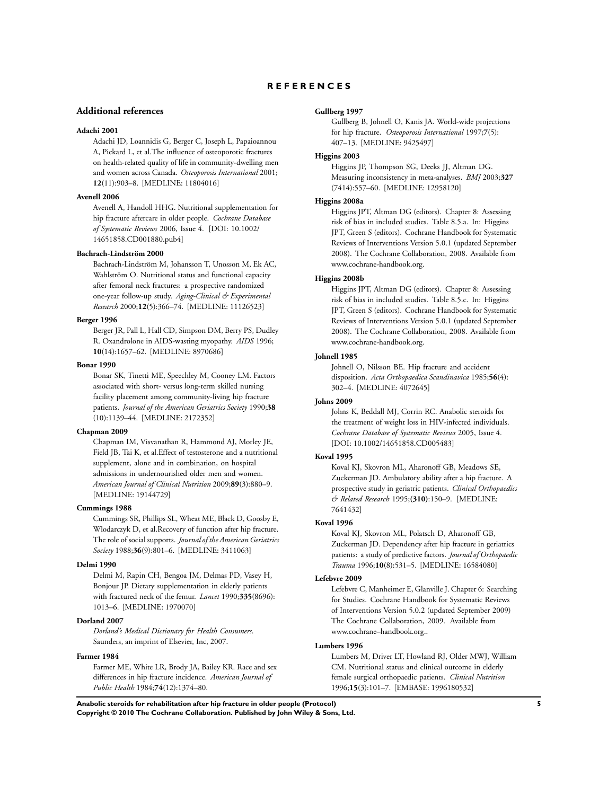#### <span id="page-7-0"></span>**Additional references**

#### **Adachi 2001**

Adachi JD, Loannidis G, Berger C, Joseph L, Papaioannou A, Pickard L, et al.The influence of osteoporotic fractures on health-related quality of life in community-dwelling men and women across Canada. *Osteoporosis International* 2001; **12**(11):903–8. [MEDLINE: 11804016]

#### **Avenell 2006**

Avenell A, Handoll HHG. Nutritional supplementation for hip fracture aftercare in older people. *Cochrane Database of Systematic Reviews* 2006, Issue 4. [DOI: 10.1002/ 14651858.CD001880.pub4]

#### **Bachrach-Lindström 2000**

Bachrach-Lindström M, Johansson T, Unosson M, Ek AC, Wahlström O. Nutritional status and functional capacity after femoral neck fractures: a prospective randomized one-year follow-up study. *Aging-Clinical & Experimental Research* 2000;**12**(5):366–74. [MEDLINE: 11126523]

#### **Berger 1996**

Berger JR, Pall L, Hall CD, Simpson DM, Berry PS, Dudley R. Oxandrolone in AIDS-wasting myopathy. *AIDS* 1996; **10**(14):1657–62. [MEDLINE: 8970686]

#### **Bonar 1990**

Bonar SK, Tinetti ME, Speechley M, Cooney LM. Factors associated with short- versus long-term skilled nursing facility placement among community-living hip fracture patients. *Journal of the American Geriatrics Society* 1990;**38** (10):1139–44. [MEDLINE: 2172352]

#### **Chapman 2009**

Chapman IM, Visvanathan R, Hammond AJ, Morley JE, Field JB, Tai K, et al.Effect of testosterone and a nutritional supplement, alone and in combination, on hospital admissions in undernourished older men and women. *American Journal of Clinical Nutrition* 2009;**89**(3):880–9. [MEDLINE: 19144729]

#### **Cummings 1988**

Cummings SR, Phillips SL, Wheat ME, Black D, Goosby E, Wlodarczyk D, et al.Recovery of function after hip fracture. The role of social supports. *Journal of the American Geriatrics Society* 1988;**36**(9):801–6. [MEDLINE: 3411063]

#### **Delmi 1990**

Delmi M, Rapin CH, Bengoa JM, Delmas PD, Vasey H, Bonjour JP. Dietary supplementation in elderly patients with fractured neck of the femur. *Lancet* 1990;**335**(8696): 1013–6. [MEDLINE: 1970070]

#### **Dorland 2007**

*Dorland's Medical Dictionary for Health Consumers*. Saunders, an imprint of Elsevier, Inc, 2007.

#### **Farmer 1984**

Farmer ME, White LR, Brody JA, Bailey KR. Race and sex differences in hip fracture incidence. *American Journal of Public Health* 1984;**74**(12):1374–80.

#### **Gullberg 1997**

Gullberg B, Johnell O, Kanis JA. World-wide projections for hip fracture. *Osteoporosis International* 1997;**7**(5): 407–13. [MEDLINE: 9425497]

#### **Higgins 2003**

Higgins JP, Thompson SG, Deeks JJ, Altman DG. Measuring inconsistency in meta-analyses. *BMJ* 2003;**327** (7414):557–60. [MEDLINE: 12958120]

## **Higgins 2008a**

Higgins JPT, Altman DG (editors). Chapter 8: Assessing risk of bias in included studies. Table 8.5.a. In: Higgins JPT, Green S (editors). Cochrane Handbook for Systematic Reviews of Interventions Version 5.0.1 (updated September 2008). The Cochrane Collaboration, 2008. Available from www.cochrane-handbook.org.

## **Higgins 2008b**

Higgins JPT, Altman DG (editors). Chapter 8: Assessing risk of bias in included studies. Table 8.5.c. In: Higgins JPT, Green S (editors). Cochrane Handbook for Systematic Reviews of Interventions Version 5.0.1 (updated September 2008). The Cochrane Collaboration, 2008. Available from www.cochrane-handbook.org.

#### **Johnell 1985**

Johnell O, Nilsson BE. Hip fracture and accident disposition. *Acta Orthopaedica Scandinavica* 1985;**56**(4): 302–4. [MEDLINE: 4072645]

#### **Johns 2009**

Johns K, Beddall MJ, Corrin RC. Anabolic steroids for the treatment of weight loss in HIV-infected individuals. *Cochrane Database of Systematic Reviews* 2005, Issue 4. [DOI: 10.1002/14651858.CD005483]

#### **Koval 1995**

Koval KJ, Skovron ML, Aharonoff GB, Meadows SE, Zuckerman JD. Ambulatory ability after a hip fracture. A prospective study in geriatric patients. *Clinical Orthopaedics & Related Research* 1995;**(310)**:150–9. [MEDLINE: 7641432]

#### **Koval 1996**

Koval KJ, Skovron ML, Polatsch D, Aharonoff GB, Zuckerman JD. Dependency after hip fracture in geriatrics patients: a study of predictive factors. *Journal of Orthopaedic Trauma* 1996;**10**(8):531–5. [MEDLINE: 16584080]

#### **Lefebvre 2009**

Lefebvre C, Manheimer E, Glanville J. Chapter 6: Searching for Studies. Cochrane Handbook for Systematic Reviews of Interventions Version 5.0.2 (updated September 2009) The Cochrane Collaboration, 2009. Available from www.cochrane–handbook.org..

## **Lumbers 1996**

Lumbers M, Driver LT, Howland RJ, Older MWJ, William CM. Nutritional status and clinical outcome in elderly female surgical orthopaedic patients. *Clinical Nutrition* 1996;**15**(3):101–7. [EMBASE: 1996180532]

**Anabolic steroids for rehabilitation after hip fracture in older people (Protocol) 5 Copyright © 2010 The Cochrane Collaboration. Published by John Wiley & Sons, Ltd.**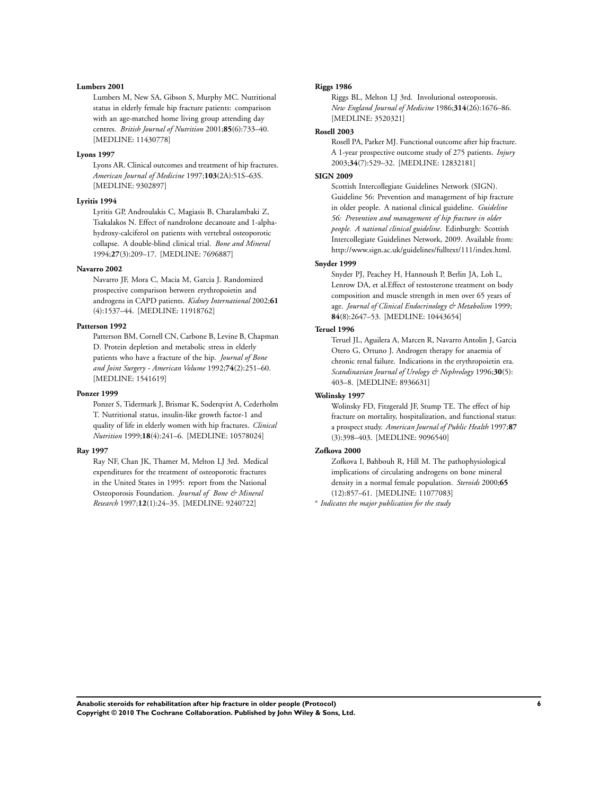#### **Lumbers 2001**

Lumbers M, New SA, Gibson S, Murphy MC. Nutritional status in elderly female hip fracture patients: comparison with an age-matched home living group attending day centres. *British Journal of Nutrition* 2001;**85**(6):733–40. [MEDLINE: 11430778]

#### **Lyons 1997**

Lyons AR. Clinical outcomes and treatment of hip fractures. *American Journal of Medicine* 1997;**103**(2A):51S–63S. [MEDLINE: 9302897]

#### **Lyritis 1994**

Lyritis GP, Androulakis C, Magiasis B, Charalambaki Z, Tsakalakos N. Effect of nandrolone decanoate and 1-alphahydroxy-calciferol on patients with vertebral osteoporotic collapse. A double-blind clinical trial. *Bone and Mineral* 1994;**27**(3):209–17. [MEDLINE: 7696887]

#### **Navarro 2002**

Navarro JF, Mora C, Macia M, Garcia J. Randomized prospective comparison between erythropoietin and androgens in CAPD patients. *Kidney International* 2002;**61** (4):1537–44. [MEDLINE: 11918762]

#### **Patterson 1992**

Patterson BM, Cornell CN, Carbone B, Levine B, Chapman D. Protein depletion and metabolic stress in elderly patients who have a fracture of the hip. *Journal of Bone and Joint Surgery - American Volume* 1992;**74**(2):251–60. [MEDLINE: 1541619]

#### **Ponzer 1999**

Ponzer S, Tidermark J, Brismar K, Soderqvist A, Cederholm T. Nutritional status, insulin-like growth factor-1 and quality of life in elderly women with hip fractures. *Clinical Nutrition* 1999;**18**(4):241–6. [MEDLINE: 10578024]

#### **Ray 1997**

Ray NF, Chan JK, Thamer M, Melton LJ 3rd. Medical expenditures for the treatment of osteoporotic fractures in the United States in 1995: report from the National Osteoporosis Foundation. *Journal of Bone & Mineral Research* 1997;**12**(1):24–35. [MEDLINE: 9240722]

#### **Riggs 1986**

Riggs BL, Melton LJ 3rd. Involutional osteoporosis. *New England Journal of Medicine* 1986;**314**(26):1676–86. [MEDLINE: 3520321]

#### **Rosell 2003**

Rosell PA, Parker MJ. Functional outcome after hip fracture. A 1-year prospective outcome study of 275 patients. *Injury* 2003;**34**(7):529–32. [MEDLINE: 12832181]

#### **SIGN 2009**

Scottish Intercollegiate Guidelines Network (SIGN). Guideline 56: Prevention and management of hip fracture in older people. A national clinical guideline. *Guideline 56: Prevention and management of hip fracture in older people. A national clinical guideline*. Edinburgh: Scottish Intercollegiate Guidelines Network, 2009. Available from: http://www.sign.ac.uk/guidelines/fulltext/111/index.html.

#### **Snyder 1999**

Snyder PJ, Peachey H, Hannoush P, Berlin JA, Loh L, Lenrow DA, et al.Effect of testosterone treatment on body composition and muscle strength in men over 65 years of age. *Journal of Clinical Endocrinology & Metabolism* 1999; **84**(8):2647–53. [MEDLINE: 10443654]

## **Teruel 1996**

Teruel JL, Aguilera A, Marcen R, Navarro Antolin J, Garcia Otero G, Ortuno J. Androgen therapy for anaemia of chronic renal failure. Indications in the erythropoietin era. *Scandinavian Journal of Urology & Nephrology* 1996;**30**(5): 403–8. [MEDLINE: 8936631]

#### **Wolinsky 1997**

Wolinsky FD, Fitzgerald JF, Stump TE. The effect of hip fracture on mortality, hospitalization, and functional status: a prospect study. *American Journal of Public Health* 1997;**87** (3):398–403. [MEDLINE: 9096540]

#### **Zofkova 2000**

Zofkova I, Bahbouh R, Hill M. The pathophysiological implications of circulating androgens on bone mineral density in a normal female population. *Steroids* 2000;**65** (12):857–61. [MEDLINE: 11077083]

∗ *Indicates the major publication for the study*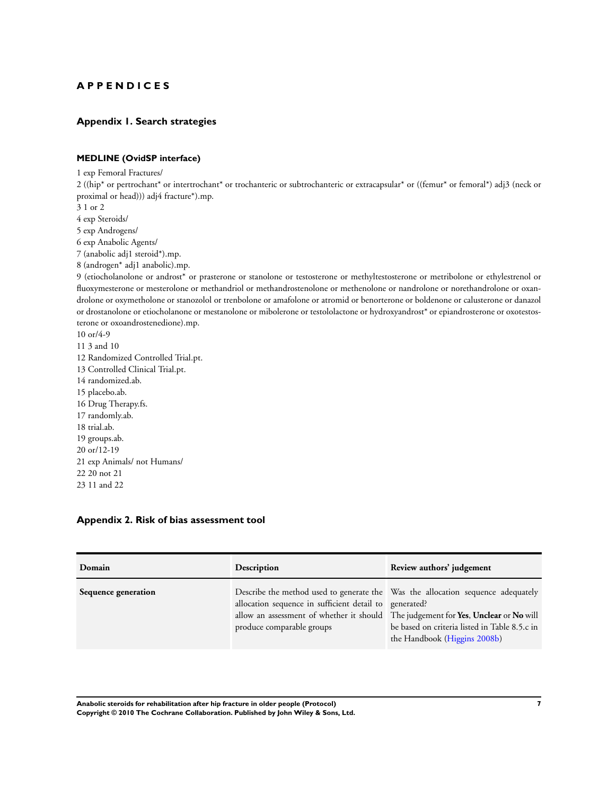## <span id="page-9-0"></span>**A P P E N D I C E S**

## **Appendix 1. Search strategies**

## **MEDLINE (OvidSP interface)**

1 exp Femoral Fractures/

2 ((hip\* or pertrochant\* or intertrochant\* or trochanteric or subtrochanteric or extracapsular\* or ((femur\* or femoral\*) adj3 (neck or proximal or head))) adj4 fracture\*).mp.

3 1 or 2

4 exp Steroids/

5 exp Androgens/

6 exp Anabolic Agents/

7 (anabolic adj1 steroid\*).mp.

8 (androgen\* adj1 anabolic).mp.

9 (etiocholanolone or androst\* or prasterone or stanolone or testosterone or methyltestosterone or metribolone or ethylestrenol or fluoxymesterone or mesterolone or methandriol or methandrostenolone or methenolone or nandrolone or norethandrolone or oxandrolone or oxymetholone or stanozolol or trenbolone or amafolone or atromid or benorterone or boldenone or calusterone or danazol or drostanolone or etiocholanone or mestanolone or mibolerone or testololactone or hydroxyandrost\* or epiandrosterone or oxotestosterone or oxoandrostenedione).mp.

10 or/4-9 11 3 and 10 12 Randomized Controlled Trial.pt. 13 Controlled Clinical Trial.pt. 14 randomized.ab. 15 placebo.ab. 16 Drug Therapy.fs. 17 randomly.ab. 18 trial.ab. 19 groups.ab. 20 or/12-19 21 exp Animals/ not Humans/ 22 20 not 21 23 11 and 22

#### **Appendix 2. Risk of bias assessment tool**

| Domain              | Description                                                                         | Review authors' judgement                                                                                                                                                                                                                              |
|---------------------|-------------------------------------------------------------------------------------|--------------------------------------------------------------------------------------------------------------------------------------------------------------------------------------------------------------------------------------------------------|
| Sequence generation | allocation sequence in sufficient detail to generated?<br>produce comparable groups | Describe the method used to generate the Was the allocation sequence adequately<br>allow an assessment of whether it should The judgement for Yes, Unclear or No will<br>be based on criteria listed in Table 8.5.c in<br>the Handbook (Higgins 2008b) |

**Anabolic steroids for rehabilitation after hip fracture in older people (Protocol) 7 Copyright © 2010 The Cochrane Collaboration. Published by John Wiley & Sons, Ltd.**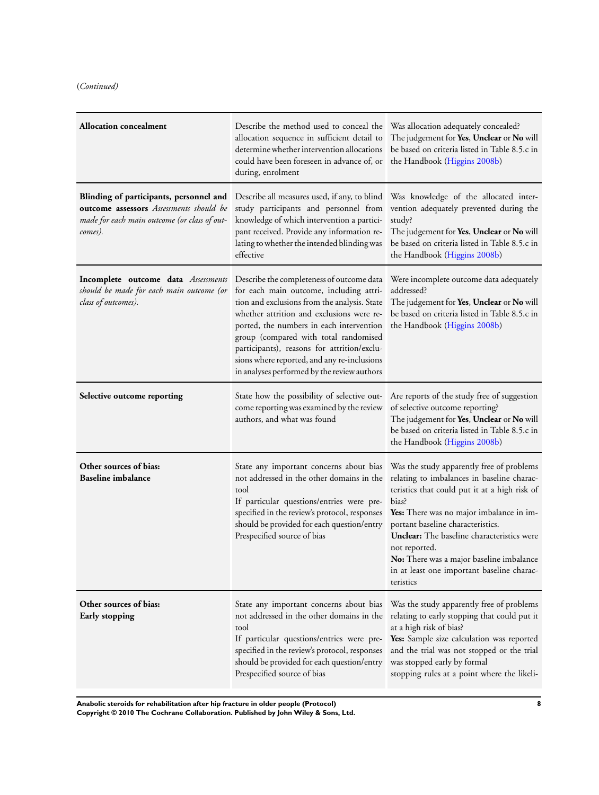(*Continued)*

| <b>Allocation concealment</b>                                                                                                                 | Describe the method used to conceal the<br>allocation sequence in sufficient detail to<br>determine whether intervention allocations<br>could have been foreseen in advance of, or<br>during, enrolment                                                                                                                                                                                                             | Was allocation adequately concealed?<br>The judgement for Yes, Unclear or No will<br>be based on criteria listed in Table 8.5.c in<br>the Handbook (Higgins 2008b)                                                                                                                                                                                                                                       |
|-----------------------------------------------------------------------------------------------------------------------------------------------|---------------------------------------------------------------------------------------------------------------------------------------------------------------------------------------------------------------------------------------------------------------------------------------------------------------------------------------------------------------------------------------------------------------------|----------------------------------------------------------------------------------------------------------------------------------------------------------------------------------------------------------------------------------------------------------------------------------------------------------------------------------------------------------------------------------------------------------|
| Blinding of participants, personnel and<br>outcome assessors Assessments should be<br>made for each main outcome (or class of out-<br>comes). | Describe all measures used, if any, to blind<br>study participants and personnel from<br>knowledge of which intervention a partici-<br>pant received. Provide any information re-<br>lating to whether the intended blinding was<br>effective                                                                                                                                                                       | Was knowledge of the allocated inter-<br>vention adequately prevented during the<br>study?<br>The judgement for Yes, Unclear or No will<br>be based on criteria listed in Table 8.5.c in<br>the Handbook (Higgins 2008b)                                                                                                                                                                                 |
| Incomplete outcome data Assessments<br>should be made for each main outcome (or<br>class of outcomes).                                        | Describe the completeness of outcome data<br>for each main outcome, including attri-<br>tion and exclusions from the analysis. State<br>whether attrition and exclusions were re-<br>ported, the numbers in each intervention<br>group (compared with total randomised<br>participants), reasons for attrition/exclu-<br>sions where reported, and any re-inclusions<br>in analyses performed by the review authors | Were incomplete outcome data adequately<br>addressed?<br>The judgement for Yes, Unclear or No will<br>be based on criteria listed in Table 8.5.c in<br>the Handbook (Higgins 2008b)                                                                                                                                                                                                                      |
| Selective outcome reporting                                                                                                                   | State how the possibility of selective out-<br>come reporting was examined by the review<br>authors, and what was found                                                                                                                                                                                                                                                                                             | Are reports of the study free of suggestion<br>of selective outcome reporting?<br>The judgement for Yes, Unclear or No will<br>be based on criteria listed in Table 8.5.c in<br>the Handbook (Higgins 2008b)                                                                                                                                                                                             |
| Other sources of bias:<br><b>Baseline imbalance</b>                                                                                           | State any important concerns about bias<br>not addressed in the other domains in the<br>tool<br>If particular questions/entries were pre-<br>specified in the review's protocol, responses<br>should be provided for each question/entry<br>Prespecified source of bias                                                                                                                                             | Was the study apparently free of problems<br>relating to imbalances in baseline charac-<br>teristics that could put it at a high risk of<br>bias?<br>Yes: There was no major imbalance in im-<br>portant baseline characteristics.<br>Unclear: The baseline characteristics were<br>not reported.<br>No: There was a major baseline imbalance<br>in at least one important baseline charac-<br>teristics |
| Other sources of bias:<br>Early stopping                                                                                                      | State any important concerns about bias<br>not addressed in the other domains in the<br>tool<br>If particular questions/entries were pre-<br>specified in the review's protocol, responses<br>should be provided for each question/entry<br>Prespecified source of bias                                                                                                                                             | Was the study apparently free of problems<br>relating to early stopping that could put it<br>at a high risk of bias?<br>Yes: Sample size calculation was reported<br>and the trial was not stopped or the trial<br>was stopped early by formal<br>stopping rules at a point where the likeli-                                                                                                            |

**Anabolic steroids for rehabilitation after hip fracture in older people (Protocol) 8 Copyright © 2010 The Cochrane Collaboration. Published by John Wiley & Sons, Ltd.**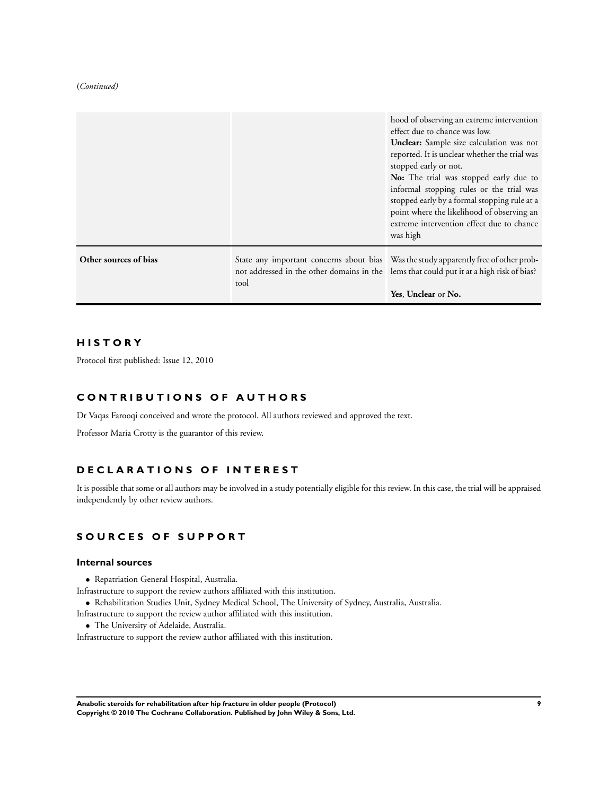#### (*Continued)*

|                       |                                                                                                  | hood of observing an extreme intervention<br>effect due to chance was low.<br>Unclear: Sample size calculation was not<br>reported. It is unclear whether the trial was<br>stopped early or not.<br>No: The trial was stopped early due to<br>informal stopping rules or the trial was<br>stopped early by a formal stopping rule at a<br>point where the likelihood of observing an<br>extreme intervention effect due to chance<br>was high |
|-----------------------|--------------------------------------------------------------------------------------------------|-----------------------------------------------------------------------------------------------------------------------------------------------------------------------------------------------------------------------------------------------------------------------------------------------------------------------------------------------------------------------------------------------------------------------------------------------|
| Other sources of bias | not addressed in the other domains in the lems that could put it at a high risk of bias?<br>tool | State any important concerns about bias Was the study apparently free of other prob-<br>Yes, Unclear or No.                                                                                                                                                                                                                                                                                                                                   |

## **H I S T O R Y**

Protocol first published: Issue 12, 2010

## **C O N T R I B U T I O N S O F A U T H O R S**

Dr Vaqas Farooqi conceived and wrote the protocol. All authors reviewed and approved the text.

Professor Maria Crotty is the guarantor of this review.

## **D E C L A R A T I O N S O F I N T E R E S T**

It is possible that some or all authors may be involved in a study potentially eligible for this review. In this case, the trial will be appraised independently by other review authors.

## **S O U R C E S O F S U P P O R T**

#### **Internal sources**

- Repatriation General Hospital, Australia.
- Infrastructure to support the review authors affiliated with this institution.
- Rehabilitation Studies Unit, Sydney Medical School, The University of Sydney, Australia, Australia.

Infrastructure to support the review author affiliated with this institution.

- The University of Adelaide, Australia.
- Infrastructure to support the review author affiliated with this institution.